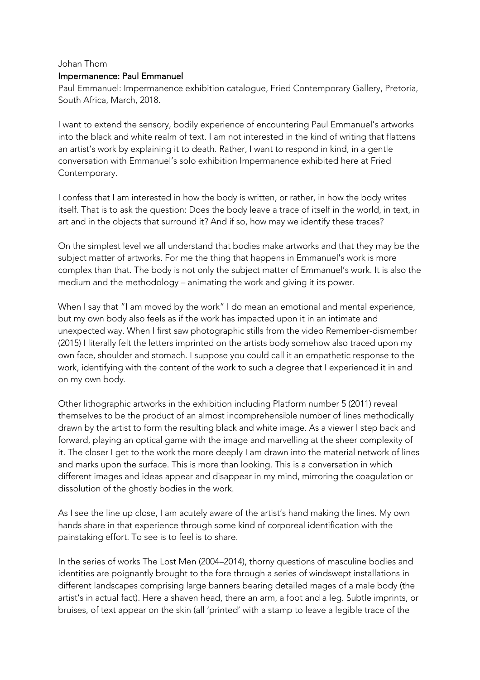## Johan Thom Impermanence: Paul Emmanuel

Paul Emmanuel: Impermanence exhibition catalogue, Fried Contemporary Gallery, Pretoria, South Africa, March, 2018.

I want to extend the sensory, bodily experience of encountering Paul Emmanuel's artworks into the black and white realm of text. I am not interested in the kind of writing that flattens an artist's work by explaining it to death. Rather, I want to respond in kind, in a gentle conversation with Emmanuel's solo exhibition Impermanence exhibited here at Fried Contemporary.

I confess that I am interested in how the body is written, or rather, in how the body writes itself. That is to ask the question: Does the body leave a trace of itself in the world, in text, in art and in the objects that surround it? And if so, how may we identify these traces?

On the simplest level we all understand that bodies make artworks and that they may be the subject matter of artworks. For me the thing that happens in Emmanuel's work is more complex than that. The body is not only the subject matter of Emmanuel's work. It is also the medium and the methodology – animating the work and giving it its power.

When I say that "I am moved by the work" I do mean an emotional and mental experience, but my own body also feels as if the work has impacted upon it in an intimate and unexpected way. When I first saw photographic stills from the video Remember-dismember (2015) I literally felt the letters imprinted on the artists body somehow also traced upon my own face, shoulder and stomach. I suppose you could call it an empathetic response to the work, identifying with the content of the work to such a degree that I experienced it in and on my own body.

Other lithographic artworks in the exhibition including Platform number 5 (2011) reveal themselves to be the product of an almost incomprehensible number of lines methodically drawn by the artist to form the resulting black and white image. As a viewer I step back and forward, playing an optical game with the image and marvelling at the sheer complexity of it. The closer I get to the work the more deeply I am drawn into the material network of lines and marks upon the surface. This is more than looking. This is a conversation in which different images and ideas appear and disappear in my mind, mirroring the coagulation or dissolution of the ghostly bodies in the work.

As I see the line up close, I am acutely aware of the artist's hand making the lines. My own hands share in that experience through some kind of corporeal identification with the painstaking effort. To see is to feel is to share.

In the series of works The Lost Men (2004–2014), thorny questions of masculine bodies and identities are poignantly brought to the fore through a series of windswept installations in different landscapes comprising large banners bearing detailed mages of a male body (the artist's in actual fact). Here a shaven head, there an arm, a foot and a leg. Subtle imprints, or bruises, of text appear on the skin (all 'printed' with a stamp to leave a legible trace of the